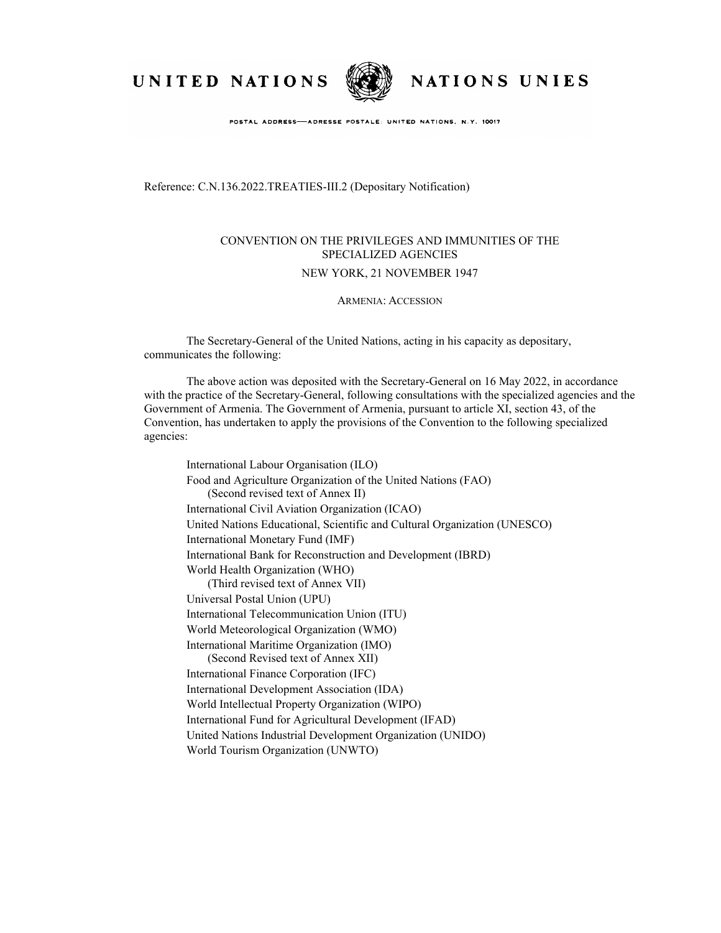UNITED NATIONS



NATIONS UNIES

POSTAL ADDRESS-ADRESSE POSTALE: UNITED NATIONS, N.Y. 10017

Reference: C.N.136.2022.TREATIES-III.2 (Depositary Notification)

## CONVENTION ON THE PRIVILEGES AND IMMUNITIES OF THE SPECIALIZED AGENCIES

## NEW YORK, 21 NOVEMBER 1947

## ARMENIA: ACCESSION

The Secretary-General of the United Nations, acting in his capacity as depositary, communicates the following:

The above action was deposited with the Secretary-General on 16 May 2022, in accordance with the practice of the Secretary-General, following consultations with the specialized agencies and the Government of Armenia. The Government of Armenia, pursuant to article XI, section 43, of the Convention, has undertaken to apply the provisions of the Convention to the following specialized agencies:

International Labour Organisation (ILO) Food and Agriculture Organization of the United Nations (FAO) (Second revised text of Annex II) International Civil Aviation Organization (ICAO) United Nations Educational, Scientific and Cultural Organization (UNESCO) International Monetary Fund (IMF) International Bank for Reconstruction and Development (IBRD) World Health Organization (WHO) (Third revised text of Annex VII) Universal Postal Union (UPU) International Telecommunication Union (ITU) World Meteorological Organization (WMO) International Maritime Organization (IMO) (Second Revised text of Annex XII) International Finance Corporation (IFC) International Development Association (IDA) World Intellectual Property Organization (WIPO) International Fund for Agricultural Development (IFAD) United Nations Industrial Development Organization (UNIDO) World Tourism Organization (UNWTO)